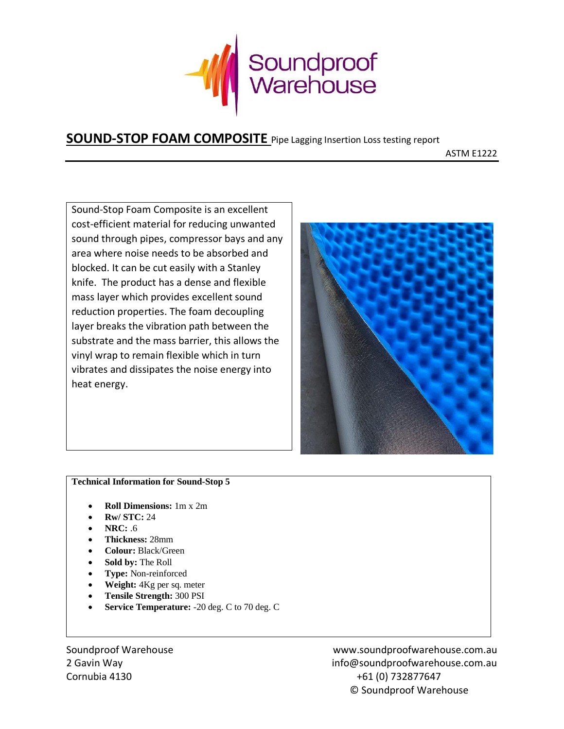

## **SOUND-STOP FOAM COMPOSITE** Pipe Lagging Insertion Loss testing report

ASTM E1222

Sound-Stop Foam Composite is an excellent cost-efficient material for reducing unwanted sound through pipes, compressor bays and any area where noise needs to be absorbed and blocked. It can be cut easily with a Stanley knife. The product has a dense and flexible mass layer which provides excellent sound reduction properties. The foam decoupling layer breaks the vibration path between the substrate and the mass barrier, this allows the vinyl wrap to remain flexible which in turn vibrates and dissipates the noise energy into heat energy.



## **Technical Information for Sound-Stop 5**

- **Roll Dimensions:** 1m x 2m
- **Rw/ STC:** 24
- **NRC:** .6
- **Thickness:** 28mm
- **Colour:** Black/Green
- **Sold by:** The Roll
- **Type:** Non-reinforced
- **Weight:** 4Kg per sq. meter
- **Tensile Strength:** 300 PSI
- **Service Temperature:** -20 deg. C to 70 deg. C

Soundproof Warehouse www.soundproofwarehouse.com.au 2 Gavin Way info@soundproofwarehouse.com.au Cornubia 4130 +61 (0) 732877647 © Soundproof Warehouse